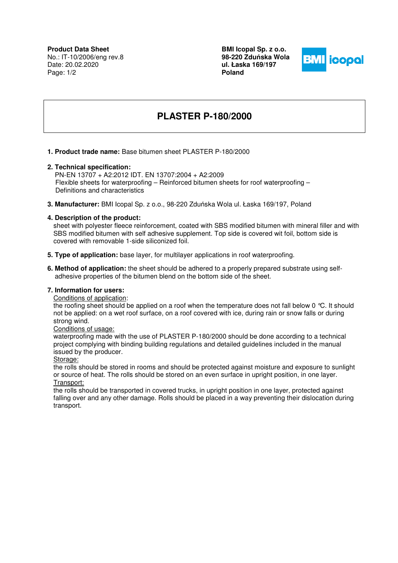**BMI Icopal Sp. z o.o. 98-220 Zdu**ń**ska Wola ul. Łaska 169/197 Poland** 



# **PLASTER P-180/2000**

#### **1. Product trade name:** Base bitumen sheet PLASTER P-180/2000

#### **2. Technical specification:**

 PN-EN 13707 + A2:2012 IDT. EN 13707:2004 + A2:2009 Flexible sheets for waterproofing – Reinforced bitumen sheets for roof waterproofing – Definitions and characteristics

**3. Manufacturer:** BMI Icopal Sp. z o.o., 98-220 Zduńska Wola ul. Łaska 169/197, Poland

#### **4. Description of the product:**

sheet with polyester fleece reinforcement, coated with SBS modified bitumen with mineral filler and with SBS modified bitumen with self adhesive supplement. Top side is covered wit foil, bottom side is covered with removable 1-side siliconized foil.

- **5. Type of application:** base layer, for multilayer applications in roof waterproofing.
- **6. Method of application:** the sheet should be adhered to a properly prepared substrate using self adhesive properties of the bitumen blend on the bottom side of the sheet.

## **7. Information for users:**

Conditions of application:

the roofing sheet should be applied on a roof when the temperature does not fall below 0 °C. It should not be applied: on a wet roof surface, on a roof covered with ice, during rain or snow falls or during strong wind.

#### Conditions of usage:

waterproofing made with the use of PLASTER P-180/2000 should be done according to a technical project complying with binding building regulations and detailed guidelines included in the manual issued by the producer.

#### Storage:

the rolls should be stored in rooms and should be protected against moisture and exposure to sunlight or source of heat. The rolls should be stored on an even surface in upright position, in one layer. Transport:

the rolls should be transported in covered trucks, in upright position in one layer, protected against falling over and any other damage. Rolls should be placed in a way preventing their dislocation during transport.